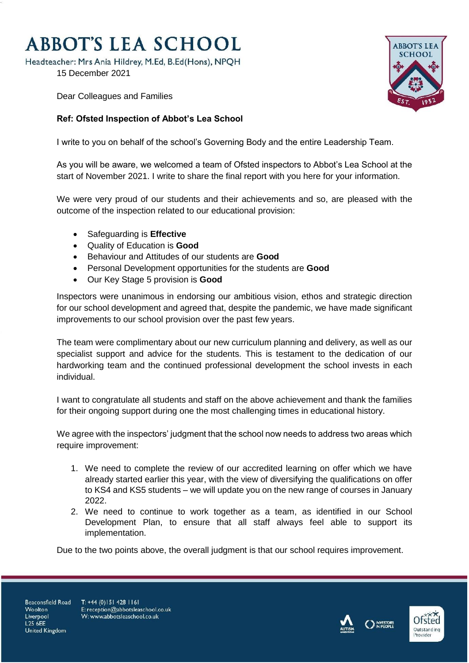## **ABBOT'S LEA SCHOOL**

Headteacher: Mrs Ania Hildrey, M.Ed, B.Ed(Hons), NPQH

15 December 2021



Dear Colleagues and Families

## **Ref: Ofsted Inspection of Abbot's Lea School**

I write to you on behalf of the school's Governing Body and the entire Leadership Team.

As you will be aware, we welcomed a team of Ofsted inspectors to Abbot's Lea School at the start of November 2021. I write to share the final report with you here for your information.

We were very proud of our students and their achievements and so, are pleased with the outcome of the inspection related to our educational provision:

- Safeguarding is **Effective**
- Quality of Education is **Good**
- Behaviour and Attitudes of our students are **Good**
- Personal Development opportunities for the students are **Good**
- Our Key Stage 5 provision is **Good**

Inspectors were unanimous in endorsing our ambitious vision, ethos and strategic direction for our school development and agreed that, despite the pandemic, we have made significant improvements to our school provision over the past few years.

The team were complimentary about our new curriculum planning and delivery, as well as our specialist support and advice for the students. This is testament to the dedication of our hardworking team and the continued professional development the school invests in each individual.

I want to congratulate all students and staff on the above achievement and thank the families for their ongoing support during one the most challenging times in educational history.

We agree with the inspectors' judgment that the school now needs to address two areas which require improvement:

- 1. We need to complete the review of our accredited learning on offer which we have already started earlier this year, with the view of diversifying the qualifications on offer to KS4 and KS5 students – we will update you on the new range of courses in January 2022.
- 2. We need to continue to work together as a team, as identified in our School Development Plan, to ensure that all staff always feel able to support its implementation.

Due to the two points above, the overall judgment is that our school requires improvement.

Beaconsfield Road Woolton Liverpool L25 6EE **United Kingdom** 

T: +44 (0) 151 428 1161 E: reception@abbotsleaschool.co.uk W: www.abbotsleaschool.co.uk